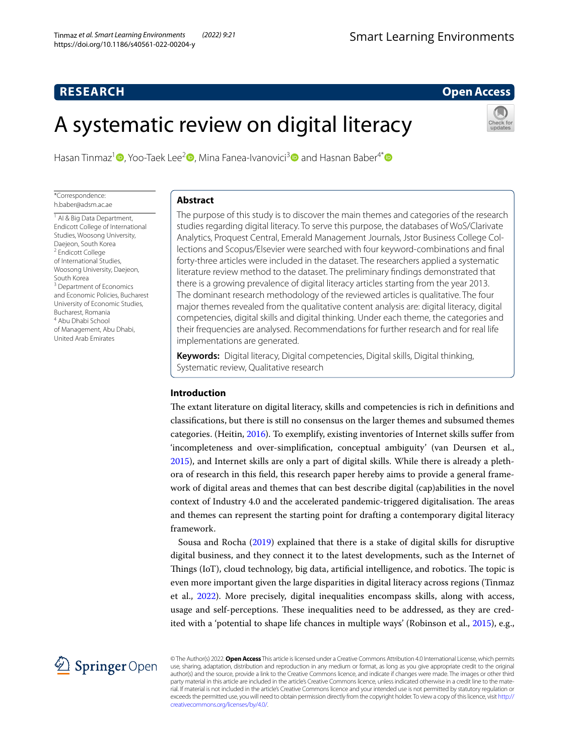# **RESEARCH**

# **Open Access**

# A systematic review on digital literacy



Hasan Tinmaz<sup>[1](http://orcid.org/0000-0003-4310-0848)</sup> **D**, Yoo-Taek Lee<sup>[2](http://orcid.org/0000-0002-1913-9059)</sup> **D**, Mina Fanea-Ivanovici<sup>3</sup> **D** and Hasnan Baber<sup>4\*</sup> **D** 

\*Correspondence: h.baber@adsm.ac.ae

<sup>1</sup> Al & Big Data Department, Endicott College of International Studies, Woosong University, Daejeon, South Korea 2 Endicott College of International Studies, Woosong University, Daejeon, South Korea <sup>3</sup> Department of Economics and Economic Policies, Bucharest University of Economic Studies, Bucharest, Romania 4 Abu Dhabi School of Management, Abu Dhabi, United Arab Emirates

# **Abstract**

The purpose of this study is to discover the main themes and categories of the research studies regarding digital literacy. To serve this purpose, the databases of WoS/Clarivate Analytics, Proquest Central, Emerald Management Journals, Jstor Business College Col‑ lections and Scopus/Elsevier were searched with four keyword-combinations and fnal forty-three articles were included in the dataset. The researchers applied a systematic literature review method to the dataset. The preliminary fndings demonstrated that there is a growing prevalence of digital literacy articles starting from the year 2013. The dominant research methodology of the reviewed articles is qualitative. The four major themes revealed from the qualitative content analysis are: digital literacy, digital competencies, digital skills and digital thinking. Under each theme, the categories and their frequencies are analysed. Recommendations for further research and for real life implementations are generated.

**Keywords:** Digital literacy, Digital competencies, Digital skills, Digital thinking, Systematic review, Qualitative research

# **Introduction**

The extant literature on digital literacy, skills and competencies is rich in definitions and classifcations, but there is still no consensus on the larger themes and subsumed themes categories. (Heitin, [2016\)](#page-16-0). To exemplify, existing inventories of Internet skills sufer from 'incompleteness and over-simplifcation, conceptual ambiguity' (van Deursen et al., [2015](#page-16-1)), and Internet skills are only a part of digital skills. While there is already a plethora of research in this feld, this research paper hereby aims to provide a general framework of digital areas and themes that can best describe digital (cap)abilities in the novel context of Industry 4.0 and the accelerated pandemic-triggered digitalisation. The areas and themes can represent the starting point for drafting a contemporary digital literacy framework.

Sousa and Rocha [\(2019\)](#page-16-2) explained that there is a stake of digital skills for disruptive digital business, and they connect it to the latest developments, such as the Internet of Things (IoT), cloud technology, big data, artificial intelligence, and robotics. The topic is even more important given the large disparities in digital literacy across regions (Tinmaz et al., [2022\)](#page-16-3). More precisely, digital inequalities encompass skills, along with access, usage and self-perceptions. These inequalities need to be addressed, as they are cred-ited with a 'potential to shape life chances in multiple ways' (Robinson et al., [2015](#page-16-4)), e.g.,



© The Author(s) 2022. **Open Access** This article is licensed under a Creative Commons Attribution 4.0 International License, which permits use, sharing, adaptation, distribution and reproduction in any medium or format, as long as you give appropriate credit to the original author(s) and the source, provide a link to the Creative Commons licence, and indicate if changes were made. The images or other third party material in this article are included in the article's Creative Commons licence, unless indicated otherwise in a credit line to the material. If material is not included in the article's Creative Commons licence and your intended use is not permitted by statutory regulation or exceeds the permitted use, you will need to obtain permission directly from the copyright holder. To view a copy of this licence, visit [http://](http://creativecommons.org/licenses/by/4.0/) [creativecommons.org/licenses/by/4.0/.](http://creativecommons.org/licenses/by/4.0/)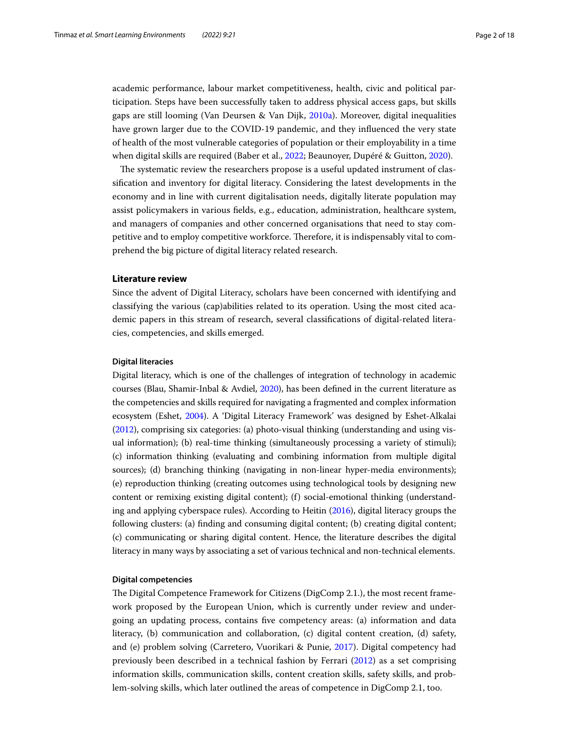academic performance, labour market competitiveness, health, civic and political participation. Steps have been successfully taken to address physical access gaps, but skills gaps are still looming (Van Deursen & Van Dijk, [2010a\)](#page-16-5). Moreover, digital inequalities have grown larger due to the COVID-19 pandemic, and they infuenced the very state of health of the most vulnerable categories of population or their employability in a time when digital skills are required (Baber et al., [2022;](#page-16-6) Beaunoyer, Dupéré & Guitton, [2020\)](#page-16-7).

The systematic review the researchers propose is a useful updated instrument of classifcation and inventory for digital literacy. Considering the latest developments in the economy and in line with current digitalisation needs, digitally literate population may assist policymakers in various felds, e.g., education, administration, healthcare system, and managers of companies and other concerned organisations that need to stay competitive and to employ competitive workforce. Therefore, it is indispensably vital to comprehend the big picture of digital literacy related research.

#### **Literature review**

Since the advent of Digital Literacy, scholars have been concerned with identifying and classifying the various (cap)abilities related to its operation. Using the most cited academic papers in this stream of research, several classifcations of digital-related literacies, competencies, and skills emerged.

#### **Digital literacies**

Digital literacy, which is one of the challenges of integration of technology in academic courses (Blau, Shamir-Inbal & Avdiel, [2020\)](#page-16-8), has been defned in the current literature as the competencies and skills required for navigating a fragmented and complex information ecosystem (Eshet, [2004](#page-16-9)). A 'Digital Literacy Framework' was designed by Eshet-Alkalai ([2012](#page-16-10)), comprising six categories: (a) photo-visual thinking (understanding and using visual information); (b) real-time thinking (simultaneously processing a variety of stimuli); (c) information thinking (evaluating and combining information from multiple digital sources); (d) branching thinking (navigating in non-linear hyper-media environments); (e) reproduction thinking (creating outcomes using technological tools by designing new content or remixing existing digital content); (f) social-emotional thinking (understanding and applying cyberspace rules). According to Heitin ([2016\)](#page-16-0), digital literacy groups the following clusters: (a) fnding and consuming digital content; (b) creating digital content; (c) communicating or sharing digital content. Hence, the literature describes the digital literacy in many ways by associating a set of various technical and non-technical elements.

#### **Digital competencies**

The Digital Competence Framework for Citizens (DigComp 2.1.), the most recent framework proposed by the European Union, which is currently under review and undergoing an updating process, contains fve competency areas: (a) information and data literacy, (b) communication and collaboration, (c) digital content creation, (d) safety, and (e) problem solving (Carretero, Vuorikari & Punie, [2017\)](#page-16-11). Digital competency had previously been described in a technical fashion by Ferrari ([2012](#page-16-12)) as a set comprising information skills, communication skills, content creation skills, safety skills, and problem-solving skills, which later outlined the areas of competence in DigComp 2.1, too.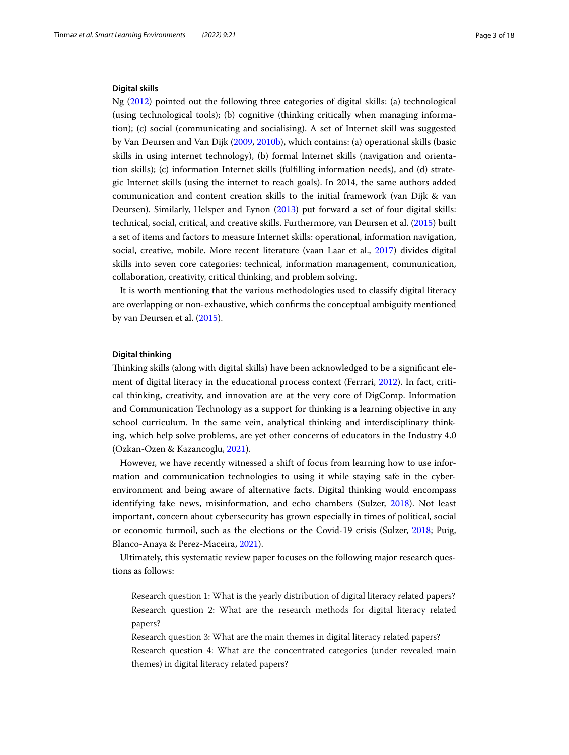## **Digital skills**

Ng [\(2012\)](#page-16-13) pointed out the following three categories of digital skills: (a) technological (using technological tools); (b) cognitive (thinking critically when managing information); (c) social (communicating and socialising). A set of Internet skill was suggested by Van Deursen and Van Dijk ([2009](#page-16-14), [2010b\)](#page-16-15), which contains: (a) operational skills (basic skills in using internet technology), (b) formal Internet skills (navigation and orientation skills); (c) information Internet skills (fulflling information needs), and (d) strategic Internet skills (using the internet to reach goals). In 2014, the same authors added communication and content creation skills to the initial framework (van Dijk & van Deursen). Similarly, Helsper and Eynon ([2013\)](#page-16-16) put forward a set of four digital skills: technical, social, critical, and creative skills. Furthermore, van Deursen et al. [\(2015](#page-16-1)) built a set of items and factors to measure Internet skills: operational, information navigation, social, creative, mobile. More recent literature (vaan Laar et al., [2017](#page-17-0)) divides digital skills into seven core categories: technical, information management, communication, collaboration, creativity, critical thinking, and problem solving.

It is worth mentioning that the various methodologies used to classify digital literacy are overlapping or non-exhaustive, which confrms the conceptual ambiguity mentioned by van Deursen et al. [\(2015\)](#page-16-1).

#### **Digital thinking**

Tinking skills (along with digital skills) have been acknowledged to be a signifcant element of digital literacy in the educational process context (Ferrari, [2012](#page-16-12)). In fact, critical thinking, creativity, and innovation are at the very core of DigComp. Information and Communication Technology as a support for thinking is a learning objective in any school curriculum. In the same vein, analytical thinking and interdisciplinary thinking, which help solve problems, are yet other concerns of educators in the Industry 4.0 (Ozkan-Ozen & Kazancoglu, [2021](#page-16-17)).

However, we have recently witnessed a shift of focus from learning how to use information and communication technologies to using it while staying safe in the cyberenvironment and being aware of alternative facts. Digital thinking would encompass identifying fake news, misinformation, and echo chambers (Sulzer, [2018\)](#page-16-18). Not least important, concern about cybersecurity has grown especially in times of political, social or economic turmoil, such as the elections or the Covid-19 crisis (Sulzer, [2018](#page-16-18); Puig, Blanco-Anaya & Perez-Maceira, [2021](#page-16-19)).

Ultimately, this systematic review paper focuses on the following major research questions as follows:

Research question 1: What is the yearly distribution of digital literacy related papers? Research question 2: What are the research methods for digital literacy related papers?

Research question 3: What are the main themes in digital literacy related papers? Research question 4: What are the concentrated categories (under revealed main themes) in digital literacy related papers?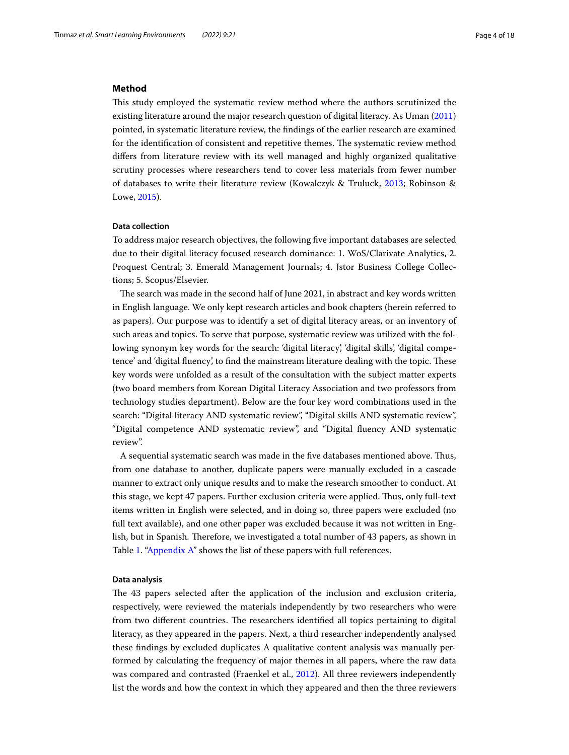#### **Method**

Tis study employed the systematic review method where the authors scrutinized the existing literature around the major research question of digital literacy. As Uman ([2011](#page-16-20)) pointed, in systematic literature review, the fndings of the earlier research are examined for the identification of consistent and repetitive themes. The systematic review method difers from literature review with its well managed and highly organized qualitative scrutiny processes where researchers tend to cover less materials from fewer number of databases to write their literature review (Kowalczyk & Truluck, [2013](#page-16-21); Robinson & Lowe, [2015\)](#page-16-22).

#### **Data collection**

To address major research objectives, the following fve important databases are selected due to their digital literacy focused research dominance: 1. WoS/Clarivate Analytics, 2. Proquest Central; 3. Emerald Management Journals; 4. Jstor Business College Collections; 5. Scopus/Elsevier.

The search was made in the second half of June 2021, in abstract and key words written in English language. We only kept research articles and book chapters (herein referred to as papers). Our purpose was to identify a set of digital literacy areas, or an inventory of such areas and topics. To serve that purpose, systematic review was utilized with the following synonym key words for the search: 'digital literacy', 'digital skills', 'digital competence' and 'digital fluency', to find the mainstream literature dealing with the topic. These key words were unfolded as a result of the consultation with the subject matter experts (two board members from Korean Digital Literacy Association and two professors from technology studies department). Below are the four key word combinations used in the search: "Digital literacy AND systematic review", "Digital skills AND systematic review", "Digital competence AND systematic review", and "Digital fuency AND systematic review".

A sequential systematic search was made in the fve databases mentioned above. Tus, from one database to another, duplicate papers were manually excluded in a cascade manner to extract only unique results and to make the research smoother to conduct. At this stage, we kept 47 papers. Further exclusion criteria were applied. Thus, only full-text items written in English were selected, and in doing so, three papers were excluded (no full text available), and one other paper was excluded because it was not written in English, but in Spanish. Therefore, we investigated a total number of 43 papers, as shown in Table [1](#page-4-0). ["Appendix A](#page-12-0)" shows the list of these papers with full references.

#### **Data analysis**

The 43 papers selected after the application of the inclusion and exclusion criteria, respectively, were reviewed the materials independently by two researchers who were from two different countries. The researchers identified all topics pertaining to digital literacy, as they appeared in the papers. Next, a third researcher independently analysed these fndings by excluded duplicates A qualitative content analysis was manually performed by calculating the frequency of major themes in all papers, where the raw data was compared and contrasted (Fraenkel et al., [2012\)](#page-16-23). All three reviewers independently list the words and how the context in which they appeared and then the three reviewers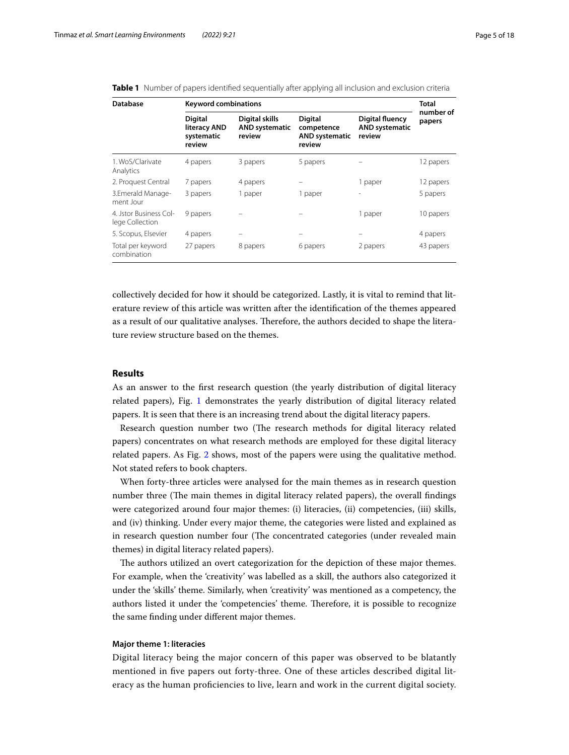| <b>Database</b>                           | <b>Keyword combinations</b>                            |                                                   |                                                          |                                                           | <b>Total</b>        |
|-------------------------------------------|--------------------------------------------------------|---------------------------------------------------|----------------------------------------------------------|-----------------------------------------------------------|---------------------|
|                                           | <b>Digital</b><br>literacy AND<br>systematic<br>review | Digital skills<br><b>AND systematic</b><br>review | Digital<br>competence<br><b>AND systematic</b><br>review | <b>Digital fluency</b><br><b>AND systematic</b><br>review | number of<br>papers |
| 1. WoS/Clarivate<br>Analytics             | 4 papers                                               | 3 papers                                          | 5 papers                                                 |                                                           | 12 papers           |
| 2. Proquest Central                       | 7 papers                                               | 4 papers                                          |                                                          | 1 paper                                                   | 12 papers           |
| 3.Emerald Manage-<br>ment Jour            | 3 papers                                               | 1 paper                                           | 1 paper                                                  | $\overline{\phantom{a}}$                                  | 5 papers            |
| 4. Istor Business Col-<br>lege Collection | 9 papers                                               |                                                   |                                                          | 1 paper                                                   | 10 papers           |
| 5. Scopus, Elsevier                       | 4 papers                                               |                                                   |                                                          |                                                           | 4 papers            |
| Total per keyword<br>combination          | 27 papers                                              | 8 papers                                          | 6 papers                                                 | 2 papers                                                  | 43 papers           |

<span id="page-4-0"></span>**Table 1** Number of papers identified sequentially after applying all inclusion and exclusion criteria

collectively decided for how it should be categorized. Lastly, it is vital to remind that literature review of this article was written after the identifcation of the themes appeared as a result of our qualitative analyses. Therefore, the authors decided to shape the literature review structure based on the themes.

# **Results**

As an answer to the frst research question (the yearly distribution of digital literacy related papers), Fig. [1](#page-5-0) demonstrates the yearly distribution of digital literacy related papers. It is seen that there is an increasing trend about the digital literacy papers.

Research question number two (The research methods for digital literacy related papers) concentrates on what research methods are employed for these digital literacy related papers. As Fig. [2](#page-5-1) shows, most of the papers were using the qualitative method. Not stated refers to book chapters.

When forty-three articles were analysed for the main themes as in research question number three (The main themes in digital literacy related papers), the overall findings were categorized around four major themes: (i) literacies, (ii) competencies, (iii) skills, and (iv) thinking. Under every major theme, the categories were listed and explained as in research question number four (The concentrated categories (under revealed main themes) in digital literacy related papers).

The authors utilized an overt categorization for the depiction of these major themes. For example, when the 'creativity' was labelled as a skill, the authors also categorized it under the 'skills' theme. Similarly, when 'creativity' was mentioned as a competency, the authors listed it under the 'competencies' theme. Therefore, it is possible to recognize the same fnding under diferent major themes.

## **Major theme 1: literacies**

Digital literacy being the major concern of this paper was observed to be blatantly mentioned in fve papers out forty-three. One of these articles described digital literacy as the human profciencies to live, learn and work in the current digital society.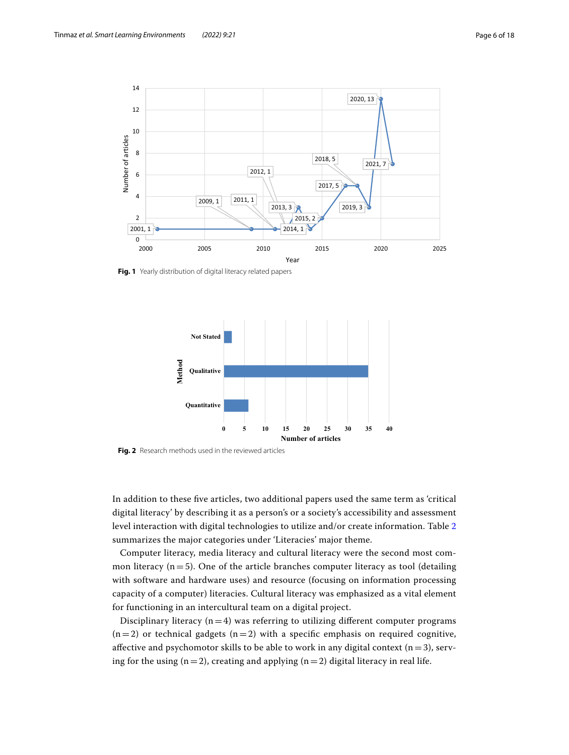

<span id="page-5-0"></span>**Fig. 1** Yearly distribution of digital literacy related papers



<span id="page-5-1"></span>**Fig. 2** Research methods used in the reviewed articles

In addition to these fve articles, two additional papers used the same term as 'critical digital literacy' by describing it as a person's or a society's accessibility and assessment level interaction with digital technologies to utilize and/or create information. Table [2](#page-6-0) summarizes the major categories under 'Literacies' major theme.

Computer literacy, media literacy and cultural literacy were the second most common literacy  $(n=5)$ . One of the article branches computer literacy as tool (detailing with software and hardware uses) and resource (focusing on information processing capacity of a computer) literacies. Cultural literacy was emphasized as a vital element for functioning in an intercultural team on a digital project.

Disciplinary literacy  $(n=4)$  was referring to utilizing different computer programs  $(n=2)$  or technical gadgets  $(n=2)$  with a specific emphasis on required cognitive, affective and psychomotor skills to be able to work in any digital context  $(n=3)$ , serving for the using ( $n=2$ ), creating and applying ( $n=2$ ) digital literacy in real life.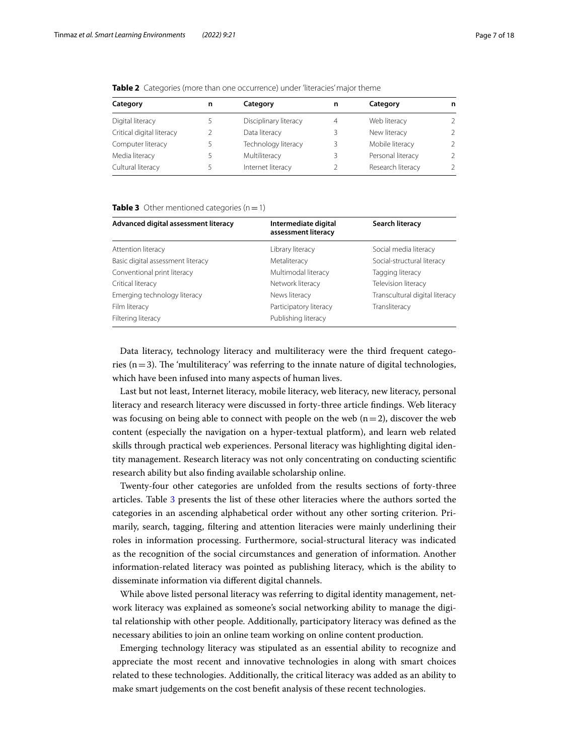| Category                  | n | Category              | n | Category          | n             |
|---------------------------|---|-----------------------|---|-------------------|---------------|
| Digital literacy          |   | Disciplinary literacy | 4 | Web literacy      | $\mathcal{L}$ |
| Critical digital literacy |   | Data literacy         | 3 | New literacy      | $\mathcal{L}$ |
| Computer literacy         |   | Technology literacy   | 3 | Mobile literacy   | $\mathcal{L}$ |
| Media literacy            |   | Multiliteracy         |   | Personal literacy | $\mathcal{L}$ |
| Cultural literacy         |   | Internet literacy     |   | Research literacy | $\mathcal{L}$ |
|                           |   |                       |   |                   |               |

<span id="page-6-0"></span>**Table 2** Categories (more than one occurrence) under 'literacies' major theme

#### <span id="page-6-1"></span>**Table 3** Other mentioned categories  $(n=1)$

| Advanced digital assessment literacy | Intermediate digital<br>assessment literacy | Search literacy                |
|--------------------------------------|---------------------------------------------|--------------------------------|
| Attention literacy                   | Library literacy                            | Social media literacy          |
| Basic digital assessment literacy    | Metaliteracy                                | Social-structural literacy     |
| Conventional print literacy          | Multimodal literacy                         | Tagging literacy               |
| Critical literacy                    | Network literacy                            | Television literacy            |
| Emerging technology literacy         | News literacy                               | Transcultural digital literacy |
| Film literacy                        | Participatory literacy                      | Transliteracy                  |
| Filtering literacy                   | Publishing literacy                         |                                |

Data literacy, technology literacy and multiliteracy were the third frequent categories ( $n=3$ ). The 'multiliteracy' was referring to the innate nature of digital technologies, which have been infused into many aspects of human lives.

Last but not least, Internet literacy, mobile literacy, web literacy, new literacy, personal literacy and research literacy were discussed in forty-three article fndings. Web literacy was focusing on being able to connect with people on the web  $(n=2)$ , discover the web content (especially the navigation on a hyper-textual platform), and learn web related skills through practical web experiences. Personal literacy was highlighting digital identity management. Research literacy was not only concentrating on conducting scientifc research ability but also fnding available scholarship online.

Twenty-four other categories are unfolded from the results sections of forty-three articles. Table [3](#page-6-1) presents the list of these other literacies where the authors sorted the categories in an ascending alphabetical order without any other sorting criterion. Primarily, search, tagging, fltering and attention literacies were mainly underlining their roles in information processing. Furthermore, social-structural literacy was indicated as the recognition of the social circumstances and generation of information. Another information-related literacy was pointed as publishing literacy, which is the ability to disseminate information via diferent digital channels.

While above listed personal literacy was referring to digital identity management, network literacy was explained as someone's social networking ability to manage the digital relationship with other people. Additionally, participatory literacy was defned as the necessary abilities to join an online team working on online content production.

Emerging technology literacy was stipulated as an essential ability to recognize and appreciate the most recent and innovative technologies in along with smart choices related to these technologies. Additionally, the critical literacy was added as an ability to make smart judgements on the cost beneft analysis of these recent technologies.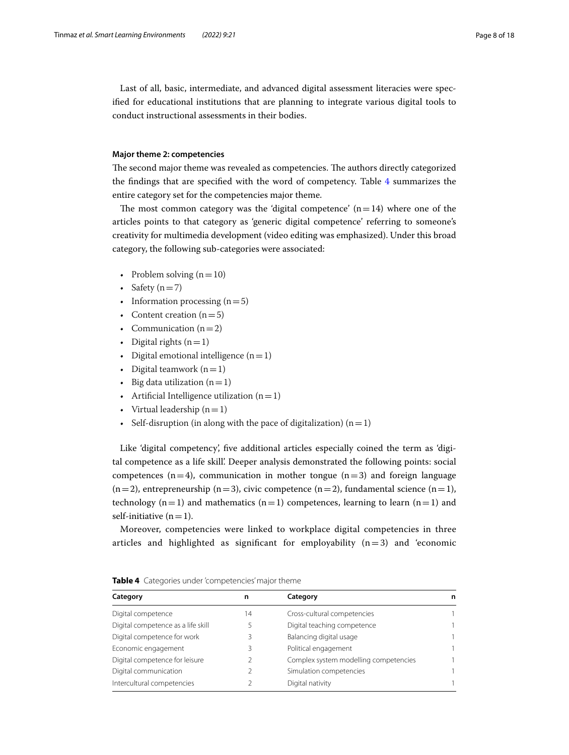Last of all, basic, intermediate, and advanced digital assessment literacies were specifed for educational institutions that are planning to integrate various digital tools to conduct instructional assessments in their bodies.

#### **Major theme 2: competencies**

The second major theme was revealed as competencies. The authors directly categorized the fndings that are specifed with the word of competency. Table [4](#page-7-0) summarizes the entire category set for the competencies major theme.

The most common category was the 'digital competence'  $(n=14)$  where one of the articles points to that category as 'generic digital competence' referring to someone's creativity for multimedia development (video editing was emphasized). Under this broad category, the following sub-categories were associated:

- Problem solving  $(n=10)$
- Safety  $(n=7)$
- Information processing  $(n=5)$
- Content creation  $(n=5)$
- Communication  $(n=2)$
- Digital rights  $(n=1)$
- Digital emotional intelligence  $(n=1)$
- Digital teamwork  $(n=1)$
- Big data utilization  $(n=1)$
- Artificial Intelligence utilization  $(n=1)$
- Virtual leadership  $(n=1)$
- Self-disruption (in along with the pace of digitalization)  $(n=1)$

Like 'digital competency', fve additional articles especially coined the term as 'digital competence as a life skill'. Deeper analysis demonstrated the following points: social competences  $(n=4)$ , communication in mother tongue  $(n=3)$  and foreign language  $(n=2)$ , entrepreneurship  $(n=3)$ , civic competence  $(n=2)$ , fundamental science  $(n=1)$ , technology  $(n=1)$  and mathematics  $(n=1)$  competences, learning to learn  $(n=1)$  and self-initiative  $(n=1)$ .

Moreover, competencies were linked to workplace digital competencies in three articles and highlighted as significant for employability  $(n=3)$  and 'economic

| Category                           | n  | Category                              | n |
|------------------------------------|----|---------------------------------------|---|
| Digital competence                 | 14 | Cross-cultural competencies           |   |
| Digital competence as a life skill |    | Digital teaching competence           |   |
| Digital competence for work        |    | Balancing digital usage               |   |
| Economic engagement                |    | Political engagement                  |   |
| Digital competence for leisure     |    | Complex system modelling competencies |   |
| Digital communication              |    | Simulation competencies               |   |
| Intercultural competencies         |    | Digital nativity                      |   |

<span id="page-7-0"></span>**Table 4** Categories under 'competencies' major theme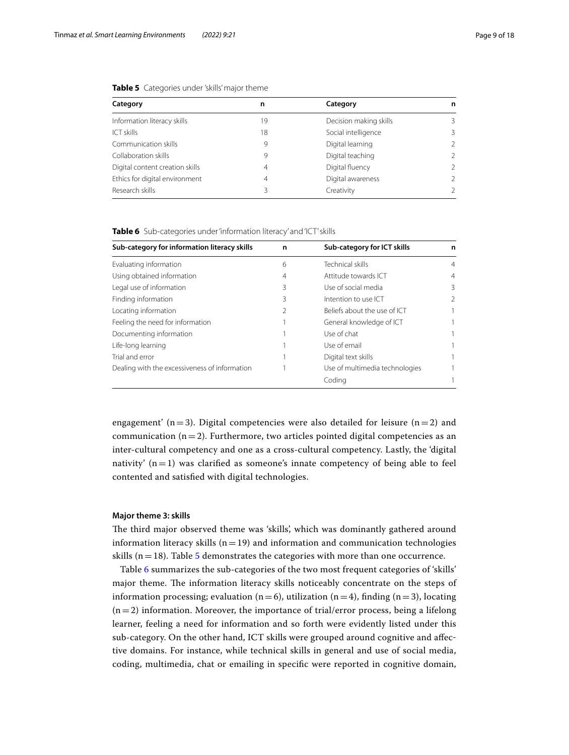| Category                        | n  | Category               | n             |
|---------------------------------|----|------------------------|---------------|
| Information literacy skills     | 19 | Decision making skills | 3             |
| <b>ICT skills</b>               | 18 | Social intelligence    | 3             |
| Communication skills            | 9  | Digital learning       | $\mathcal{P}$ |
| Collaboration skills            | 9  | Digital teaching       | $\mathcal{P}$ |
| Digital content creation skills | 4  | Digital fluency        | $\mathcal{P}$ |
| Ethics for digital environment  | 4  | Digital awareness      | $\mathcal{P}$ |
| Research skills                 |    | Creativity             | $\mathcal{P}$ |

#### <span id="page-8-0"></span>**Table 5** Categories under 'skills' major theme

<span id="page-8-1"></span>**Table 6** Sub-categories under 'information literacy' and 'ICT' skills

| Sub-category for information literacy skills  | n | Sub-category for ICT skills    | n |
|-----------------------------------------------|---|--------------------------------|---|
| Evaluating information                        | 6 | Technical skills               | 4 |
| Using obtained information                    | 4 | Attitude towards ICT           | 4 |
| Legal use of information                      | 3 | Use of social media            | 3 |
| Finding information                           | 3 | Intention to use ICT           | 2 |
| Locating information                          |   | Beliefs about the use of ICT   |   |
| Feeling the need for information              |   | General knowledge of ICT       |   |
| Documenting information                       |   | Use of chat                    |   |
| Life-long learning                            |   | Use of email                   |   |
| Trial and error                               |   | Digital text skills            |   |
| Dealing with the excessiveness of information |   | Use of multimedia technologies |   |
|                                               |   | Coding                         |   |

engagement' (n=3). Digital competencies were also detailed for leisure (n=2) and communication  $(n=2)$ . Furthermore, two articles pointed digital competencies as an inter-cultural competency and one as a cross-cultural competency. Lastly, the 'digital nativity'  $(n=1)$  was clarified as someone's innate competency of being able to feel contented and satisfed with digital technologies.

#### **Major theme 3: skills**

The third major observed theme was 'skills', which was dominantly gathered around information literacy skills  $(n=19)$  and information and communication technologies skills ( $n=18$ ). Table [5](#page-8-0) demonstrates the categories with more than one occurrence.

Table [6](#page-8-1) summarizes the sub-categories of the two most frequent categories of 'skills' major theme. The information literacy skills noticeably concentrate on the steps of information processing; evaluation (n=6), utilization (n=4), finding (n=3), locating  $(n=2)$  information. Moreover, the importance of trial/error process, being a lifelong learner, feeling a need for information and so forth were evidently listed under this sub-category. On the other hand, ICT skills were grouped around cognitive and afective domains. For instance, while technical skills in general and use of social media, coding, multimedia, chat or emailing in specifc were reported in cognitive domain,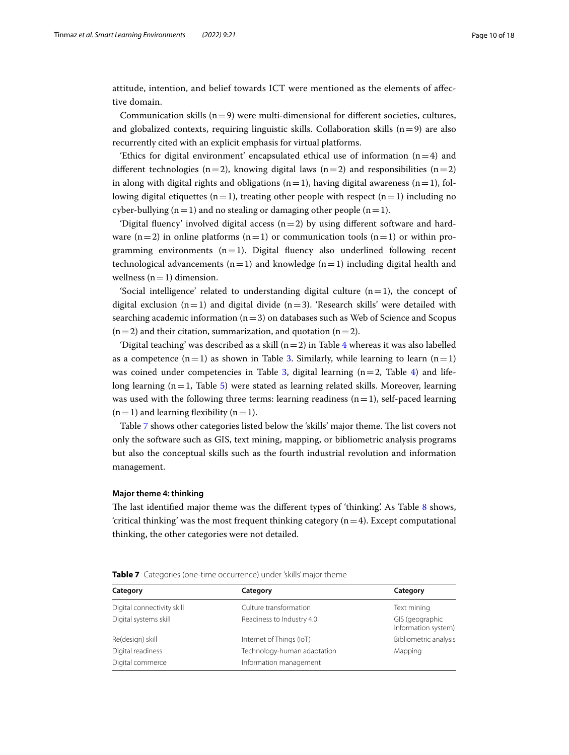attitude, intention, and belief towards ICT were mentioned as the elements of afective domain.

Communication skills  $(n=9)$  were multi-dimensional for different societies, cultures, and globalized contexts, requiring linguistic skills. Collaboration skills  $(n=9)$  are also recurrently cited with an explicit emphasis for virtual platforms.

'Ethics for digital environment' encapsulated ethical use of information  $(n=4)$  and different technologies (n=2), knowing digital laws (n=2) and responsibilities (n=2) in along with digital rights and obligations ( $n=1$ ), having digital awareness ( $n=1$ ), following digital etiquettes (n=1), treating other people with respect (n=1) including no cyber-bullying  $(n=1)$  and no stealing or damaging other people  $(n=1)$ .

'Digital fluency' involved digital access  $(n=2)$  by using different software and hardware  $(n=2)$  in online platforms  $(n=1)$  or communication tools  $(n=1)$  or within programming environments  $(n=1)$ . Digital fluency also underlined following recent technological advancements  $(n=1)$  and knowledge  $(n=1)$  including digital health and wellness  $(n=1)$  dimension.

'Social intelligence' related to understanding digital culture  $(n=1)$ , the concept of digital exclusion  $(n=1)$  and digital divide  $(n=3)$ . 'Research skills' were detailed with searching academic information  $(n=3)$  on databases such as Web of Science and Scopus  $(n=2)$  and their citation, summarization, and quotation  $(n=2)$ .

'Digital teaching' was described as a skill  $(n=2)$  in Table [4](#page-7-0) whereas it was also labelled as a competence  $(n=1)$  as shown in Table [3.](#page-6-1) Similarly, while learning to learn  $(n=1)$ was coined under competencies in Table [3](#page-6-1), digital learning  $(n=2,$  Table [4](#page-7-0)) and lifelong learning  $(n=1,$  Table [5](#page-8-0)) were stated as learning related skills. Moreover, learning was used with the following three terms: learning readiness  $(n=1)$ , self-paced learning  $(n=1)$  and learning flexibility  $(n=1)$ .

Table [7](#page-9-0) shows other categories listed below the 'skills' major theme. The list covers not only the software such as GIS, text mining, mapping, or bibliometric analysis programs but also the conceptual skills such as the fourth industrial revolution and information management.

#### **Major theme 4: thinking**

The last identified major theme was the different types of 'thinking'. As Table [8](#page-10-0) shows, 'critical thinking' was the most frequent thinking category  $(n=4)$ . Except computational thinking, the other categories were not detailed.

| Category                   | Category               | Category   |
|----------------------------|------------------------|------------|
| Digital connectivity skill | Culture transformation | Text minir |

<span id="page-9-0"></span>

|  |  |  | <b>Table 7</b> Categories (one-time occurrence) under 'skills' major theme |
|--|--|--|----------------------------------------------------------------------------|
|--|--|--|----------------------------------------------------------------------------|

| Culture transformation      | Text mining                            |
|-----------------------------|----------------------------------------|
| Readiness to Industry 4.0   | GIS (geographic<br>information system) |
| Internet of Things (IoT)    | Bibliometric analysis                  |
| Technology-human adaptation | Mapping                                |
| Information management      |                                        |
|                             |                                        |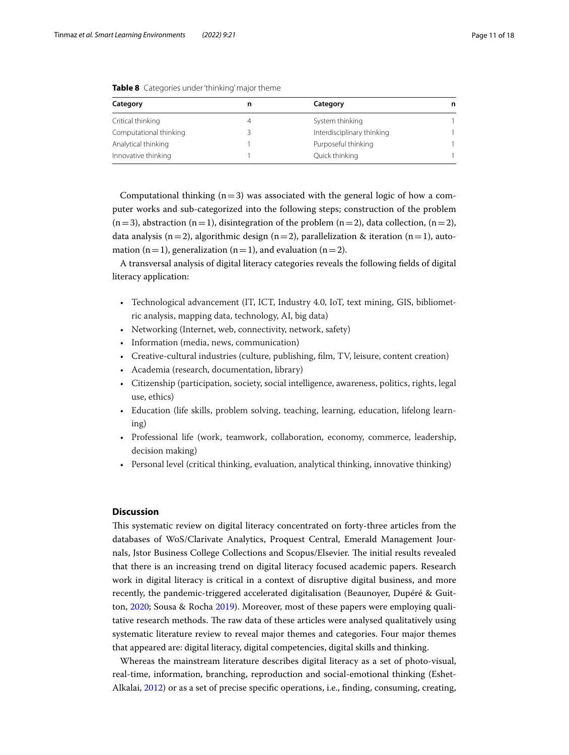| Category               | Category                   | n |
|------------------------|----------------------------|---|
| Critical thinking      | System thinking            |   |
| Computational thinking | Interdisciplinary thinking |   |
| Analytical thinking    | Purposeful thinking        |   |
| Innovative thinking    | Quick thinking             |   |

<span id="page-10-0"></span>**Table 8** Categories under 'thinking' major theme

Computational thinking  $(n=3)$  was associated with the general logic of how a computer works and sub-categorized into the following steps; construction of the problem  $(n=3)$ , abstraction  $(n=1)$ , disintegration of the problem  $(n=2)$ , data collection,  $(n=2)$ , data analysis (n=2), algorithmic design (n=2), parallelization & iteration (n=1), automation (n=1), generalization (n=1), and evaluation (n=2).

A transversal analysis of digital literacy categories reveals the following felds of digital literacy application:

- Technological advancement (IT, ICT, Industry 4.0, IoT, text mining, GIS, bibliometric analysis, mapping data, technology, AI, big data)
- Networking (Internet, web, connectivity, network, safety)
- Information (media, news, communication)
- Creative-cultural industries (culture, publishing, flm, TV, leisure, content creation)
- Academia (research, documentation, library)
- Citizenship (participation, society, social intelligence, awareness, politics, rights, legal use, ethics)
- Education (life skills, problem solving, teaching, learning, education, lifelong learning)
- Professional life (work, teamwork, collaboration, economy, commerce, leadership, decision making)
- Personal level (critical thinking, evaluation, analytical thinking, innovative thinking)

## **Discussion**

This systematic review on digital literacy concentrated on forty-three articles from the databases of WoS/Clarivate Analytics, Proquest Central, Emerald Management Journals, Jstor Business College Collections and Scopus/Elsevier. The initial results revealed that there is an increasing trend on digital literacy focused academic papers. Research work in digital literacy is critical in a context of disruptive digital business, and more recently, the pandemic-triggered accelerated digitalisation (Beaunoyer, Dupéré & Guitton, [2020](#page-16-7); Sousa & Rocha [2019](#page-16-2)). Moreover, most of these papers were employing qualitative research methods. The raw data of these articles were analysed qualitatively using systematic literature review to reveal major themes and categories. Four major themes that appeared are: digital literacy, digital competencies, digital skills and thinking.

Whereas the mainstream literature describes digital literacy as a set of photo-visual, real-time, information, branching, reproduction and social-emotional thinking (Eshet-Alkalai, [2012\)](#page-16-10) or as a set of precise specifc operations, i.e., fnding, consuming, creating,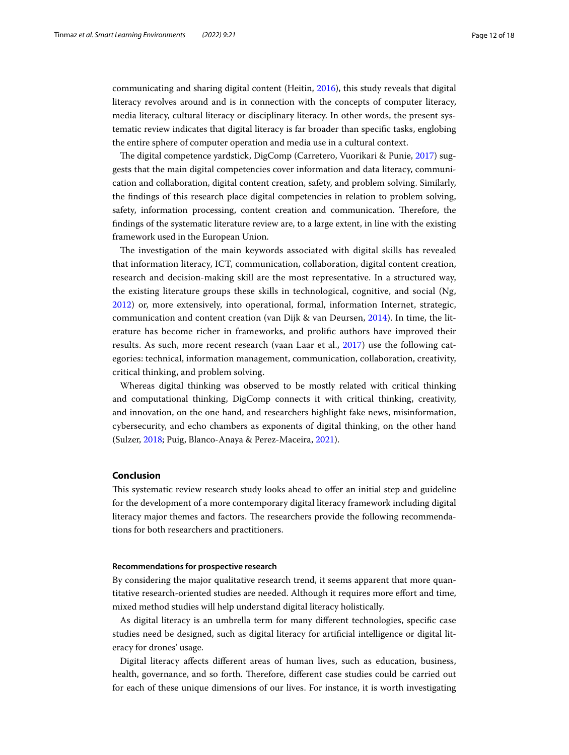communicating and sharing digital content (Heitin, [2016](#page-16-0)), this study reveals that digital literacy revolves around and is in connection with the concepts of computer literacy, media literacy, cultural literacy or disciplinary literacy. In other words, the present systematic review indicates that digital literacy is far broader than specifc tasks, englobing the entire sphere of computer operation and media use in a cultural context.

The digital competence yardstick, DigComp (Carretero, Vuorikari & Punie, [2017\)](#page-16-11) suggests that the main digital competencies cover information and data literacy, communication and collaboration, digital content creation, safety, and problem solving. Similarly, the fndings of this research place digital competencies in relation to problem solving, safety, information processing, content creation and communication. Therefore, the fndings of the systematic literature review are, to a large extent, in line with the existing framework used in the European Union.

The investigation of the main keywords associated with digital skills has revealed that information literacy, ICT, communication, collaboration, digital content creation, research and decision-making skill are the most representative. In a structured way, the existing literature groups these skills in technological, cognitive, and social (Ng, [2012\)](#page-16-13) or, more extensively, into operational, formal, information Internet, strategic, communication and content creation (van Dijk & van Deursen, [2014\)](#page-16-24). In time, the literature has become richer in frameworks, and prolifc authors have improved their results. As such, more recent research (vaan Laar et al., [2017\)](#page-17-0) use the following categories: technical, information management, communication, collaboration, creativity, critical thinking, and problem solving.

Whereas digital thinking was observed to be mostly related with critical thinking and computational thinking, DigComp connects it with critical thinking, creativity, and innovation, on the one hand, and researchers highlight fake news, misinformation, cybersecurity, and echo chambers as exponents of digital thinking, on the other hand (Sulzer, [2018;](#page-16-18) Puig, Blanco-Anaya & Perez-Maceira, [2021](#page-16-19)).

## **Conclusion**

This systematic review research study looks ahead to offer an initial step and guideline for the development of a more contemporary digital literacy framework including digital literacy major themes and factors. The researchers provide the following recommendations for both researchers and practitioners.

#### **Recommendations for prospective research**

By considering the major qualitative research trend, it seems apparent that more quantitative research-oriented studies are needed. Although it requires more efort and time, mixed method studies will help understand digital literacy holistically.

As digital literacy is an umbrella term for many diferent technologies, specifc case studies need be designed, such as digital literacy for artifcial intelligence or digital literacy for drones' usage.

Digital literacy afects diferent areas of human lives, such as education, business, health, governance, and so forth. Therefore, different case studies could be carried out for each of these unique dimensions of our lives. For instance, it is worth investigating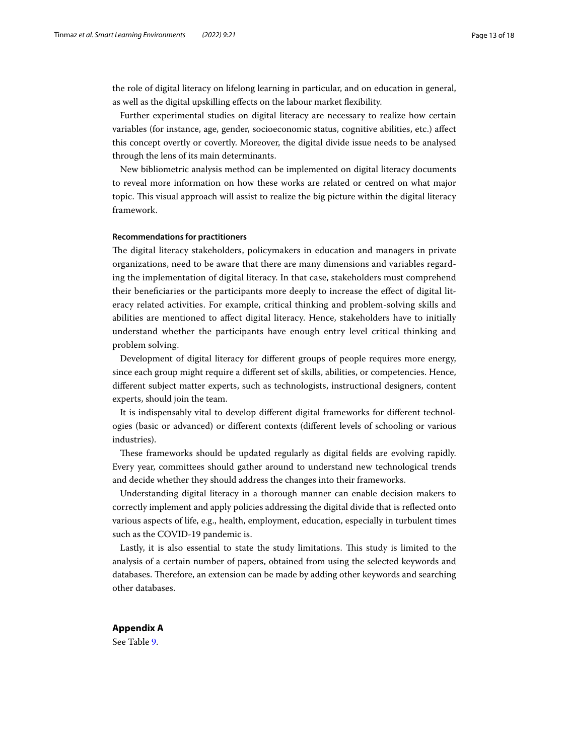the role of digital literacy on lifelong learning in particular, and on education in general, as well as the digital upskilling efects on the labour market fexibility.

Further experimental studies on digital literacy are necessary to realize how certain variables (for instance, age, gender, socioeconomic status, cognitive abilities, etc.) afect this concept overtly or covertly. Moreover, the digital divide issue needs to be analysed through the lens of its main determinants.

New bibliometric analysis method can be implemented on digital literacy documents to reveal more information on how these works are related or centred on what major topic. This visual approach will assist to realize the big picture within the digital literacy framework.

## **Recommendations for practitioners**

The digital literacy stakeholders, policymakers in education and managers in private organizations, need to be aware that there are many dimensions and variables regarding the implementation of digital literacy. In that case, stakeholders must comprehend their benefciaries or the participants more deeply to increase the efect of digital literacy related activities. For example, critical thinking and problem-solving skills and abilities are mentioned to afect digital literacy. Hence, stakeholders have to initially understand whether the participants have enough entry level critical thinking and problem solving.

Development of digital literacy for diferent groups of people requires more energy, since each group might require a diferent set of skills, abilities, or competencies. Hence, diferent subject matter experts, such as technologists, instructional designers, content experts, should join the team.

It is indispensably vital to develop diferent digital frameworks for diferent technologies (basic or advanced) or diferent contexts (diferent levels of schooling or various industries).

These frameworks should be updated regularly as digital fields are evolving rapidly. Every year, committees should gather around to understand new technological trends and decide whether they should address the changes into their frameworks.

Understanding digital literacy in a thorough manner can enable decision makers to correctly implement and apply policies addressing the digital divide that is refected onto various aspects of life, e.g., health, employment, education, especially in turbulent times such as the COVID-19 pandemic is.

Lastly, it is also essential to state the study limitations. This study is limited to the analysis of a certain number of papers, obtained from using the selected keywords and databases. Therefore, an extension can be made by adding other keywords and searching other databases.

<span id="page-12-0"></span>**Appendix A** See Table [9.](#page-13-0)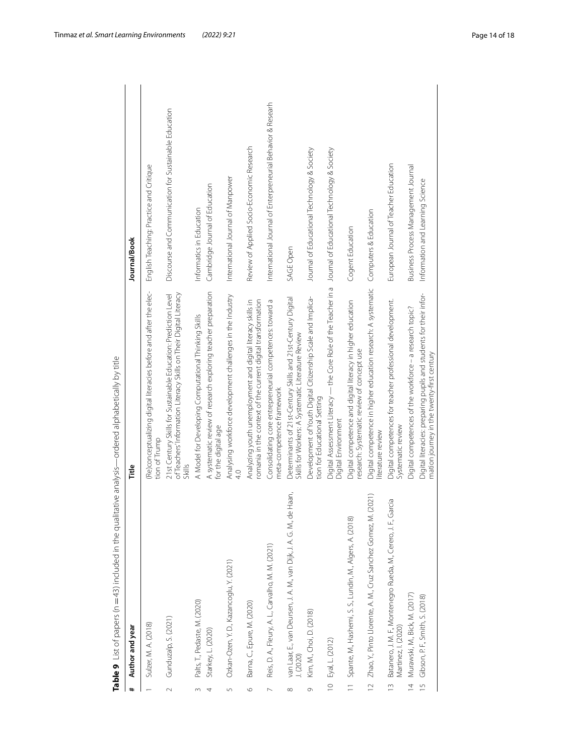| #              | Author and year                                                                        | Title                                                                                                                                 | Journal/Book                                                |
|----------------|----------------------------------------------------------------------------------------|---------------------------------------------------------------------------------------------------------------------------------------|-------------------------------------------------------------|
|                | Sulzer, M. A. (2018)                                                                   | (Re)conceptualizing digital literacies before and after the elec-<br>tion of Trump                                                    | English Teaching: Practice and Critique                     |
| $\sim$         | Gunduzalp, S. (2021)                                                                   | of Teachers' Information Literacy Skills on Their Digital Literacy<br>21st Century Skills for Sustainable Education: Prediction Level | Discourse and Communication for Sustainable Education       |
| $\sim$         | Palts, T., Pedaste, M. (2020)                                                          | A Model for Developing Computational Thinking Skills                                                                                  | Informatics in Education                                    |
| 4              | Starkey, L. (2020)                                                                     | A systematic review of research exploring teacher preparation<br>for the digital age                                                  | Cambridge Journal of Education                              |
| S              | Ozkan-Ozen, Y. D., Kazancoglu, Y. (2021)                                               | Analysing workforce development challenges in the Industry                                                                            | International Journal of Manpower                           |
| $\circ$        | Barna, C., Epure, M. (2020)                                                            | romania in the context of the current digital transformation<br>Analyzing youth unemployment and digital literacy skills in           | Review of Applied Socio-Economic Research                   |
| $\sim$         | Reis, D. A., Fleury, A. L., Carvalho, M. M. (2021)                                     | Consolidating core entrepreneurial competences: toward a<br>meta-competence framework                                                 | International Journal of Enterpreneurial Behavior & Researh |
| $\infty$       | van Laar, E., van Deursen, J. A. M., van Dijk, J. A. G. M., de Haan,<br>J. (2020)      | Determinants of 21st-Century Skills and 21st-Century Digital<br>Skills for Workers: A Systematic Literature Review                    | SAGE Open                                                   |
| Ò              | Kim, M., Choi, D. (2018)                                                               | Development of Youth Digital Citizenship Scale and Implica-<br>tion for Educational Setting                                           | Journal of Educational Technology & Society                 |
| $\approx$      | Eyal, L. (2012)                                                                        | Digital Assessment Literacy — the Core Role of the Teacher in a    Journal of Educational Technology & Society<br>Digital Environment |                                                             |
|                | 11 Spante, M., Hashemi, S. S., Lundin, M., Algers, A. (2018)                           | Digital competence and digital literacy in higher education<br>research: Systematic review of concept use                             | Cogent Education                                            |
| $\approx$      | (2021)<br>Zhao, Y., Pinto Llorente, A. M., Cruz Sanchez Gomez, M.                      | Digital competence in higher education research: A systematic<br>literature review                                                    | Computers & Education                                       |
| $\tilde{=}$    | Batanero, J. M. F., Montenegro Rueda, M., Cerero, J. F., Garcia<br>Martinez, I. (2020) | Digital competences for teacher professional development.<br>Systematic review                                                        | European Journal of Teacher Education                       |
| $\overline{4}$ | Murawski, M., Bick, M. (2017)                                                          | Digital competences of the workforce - a research topic?                                                                              | Business Process Management Journal                         |
| 15             | Gibson, P. F., Smith, S. (2018)                                                        | Digital literacies: preparing pupils and students for their infor-<br>mation journey in the twenty-first century                      | Information and Learning Science                            |
|                |                                                                                        |                                                                                                                                       |                                                             |

<span id="page-13-0"></span>Table 9 List of papers (n = 43) included in the qualitative analysis—ordered alphabetically by title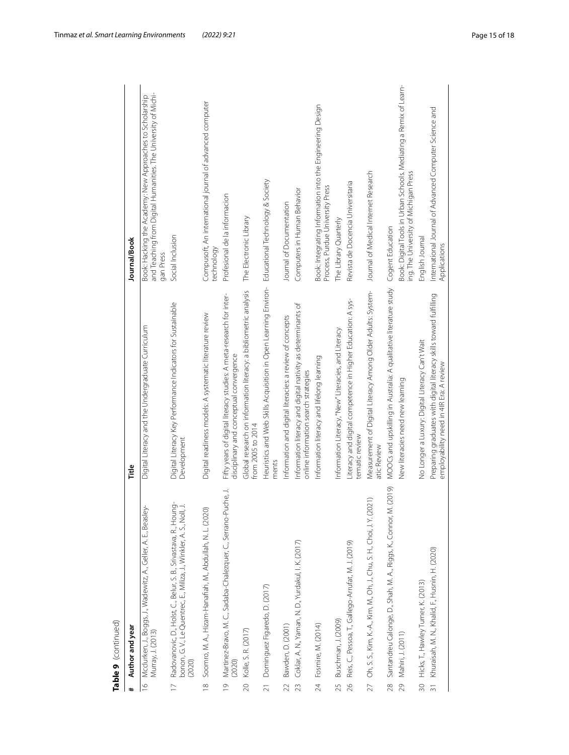| #               | Author and year                                                                                                                                   | Title                                                                                                          | Journal/Book                                                                                                                            |
|-----------------|---------------------------------------------------------------------------------------------------------------------------------------------------|----------------------------------------------------------------------------------------------------------------|-----------------------------------------------------------------------------------------------------------------------------------------|
| $\approx$       | Mcclurken, J., Boggs, J., Wadewitz, A., Geller, A. E., Beasley-<br>Murray, J. (2013)                                                              | Digital Literacy and the Undergraduate Curriculum                                                              | and Teaching from Digital Humanities. The University of Michi-<br>Book: Hacking the Academy: New Approaches to Scholarship<br>gan Press |
|                 | Radovanovic, D., Holst, C., Belur, S. B., Srivastava, R., Houng-<br>bonon, G. V., Le Quentrec, E., Miliza, J., Winkler, A. S., Noll, J.<br>(2020) | Digital Literacy Key Performance Indicators for Sustainable<br>Development                                     | Social Inclusion                                                                                                                        |
| $\frac{8}{10}$  | Soomro, M. A., Hizam-Hanafiah, M., Abdullah, N. L. (2020)                                                                                         | Digital readiness models: A systematic literature review                                                       | Compusoft, An international journal of advanced computer<br>technology                                                                  |
| $\overline{0}$  | Martinez-Bravo, M. C., Sadaba-Chalezquer, C., Serrano-Puche, J.<br>(2020)                                                                         | Fifty years of digital literacy studies: A meta-research for inter-<br>disciplinary and conceptual convergence | Profesional de la informacion                                                                                                           |
| $\overline{20}$ | Kolle, S. R. (2017)                                                                                                                               | Global research on information literacy: a bibliometric analysis<br>from 2005 to 2014                          | The Electronic Library                                                                                                                  |
|                 | 21 Dominguez Figaredo, D. (2017)                                                                                                                  | Heuristics and Web Skills Acquisition in Open Learning Environ- Educational Technology & Society<br>ments      |                                                                                                                                         |
| 22              | Bawden, D. (2001)                                                                                                                                 | Information and digital literacies: a review of concepts                                                       | Journal of Documentation                                                                                                                |
| 23              | Coklar, A. N., Yaman, N. D., Yurdakul, I. K. (2017)                                                                                               | Information literacy and digital nativity as determinants of<br>online information search strategies           | Computers in Human Behavior                                                                                                             |
|                 | 24 Fosmire, M. (2014)                                                                                                                             | Information literacy and lifelong learning                                                                     | Book: Integrating Information into the Engineering Design<br>Process, Purdue University Press                                           |
| 25              | Buschman, J. (2009)                                                                                                                               | Information Literacy,"New" Literacies, and Literacy                                                            | The Library Quarterly                                                                                                                   |
| $\frac{8}{2}$   | Reis, C., Pessoa, T., Gallego-Arrufat, M. J. (2019)                                                                                               | Literacy and digital competence in Higher Education: A sys-<br>tematic review                                  | Revista de Docencia Universitaria                                                                                                       |
| $\overline{27}$ | Oh, S. S., Kim, K.-A., Kim, M., Oh, J., Chu, S. H., Choi, J. Y. (2021)                                                                            | Measurement of Digital Literacy Among Older Adults: System-<br>atic Review                                     | Journal of Medical Internet Research                                                                                                    |
| 28              | (2019)<br>Santandreu Calonge, D., Shah, M. A., Riggs, K., Connor, M. (                                                                            | MOOCs and upskilling in Australia: A qualitative literature study                                              | Cogent Education                                                                                                                        |
| 29              | Mahiri, J. (2011)                                                                                                                                 | New literacies need new learning                                                                               | Book: Digital Tools in Urban Schools. Mediating a Remix of Learn-<br>ing. The University of Michigan Press                              |
|                 | 30 Hicks, T., Hawley Turner, K. (2013)                                                                                                            | No Longer a Luxury: Digital Literacy Can't Wait                                                                | English Journal                                                                                                                         |
|                 | Khuraisah, M. N., Khalid, F., Husnin, H. (2020)                                                                                                   | Preparing graduates with digital literacy skills toward fulfilling<br>employability need in 4IR Era: A review  | International Journal of Advanced Computer Science and<br>Applications                                                                  |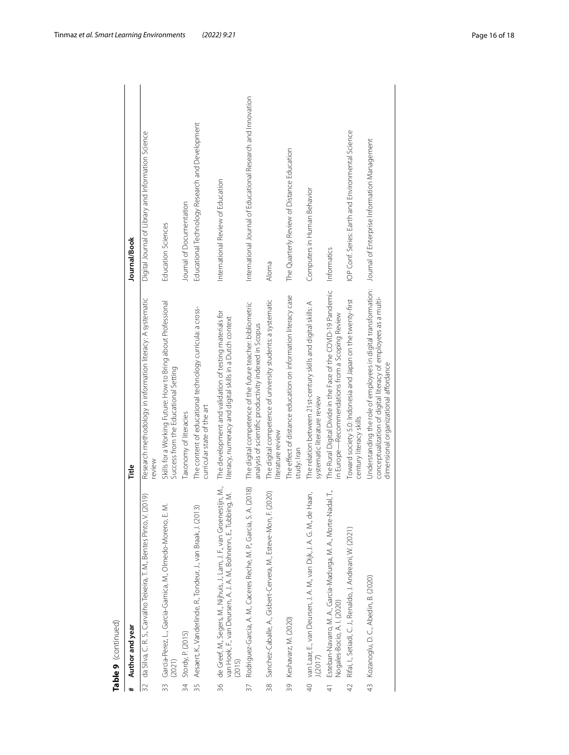|                | Table 9 (continued)                                                                                                                                      |                                                                                                                                                                           |                                                              |
|----------------|----------------------------------------------------------------------------------------------------------------------------------------------------------|---------------------------------------------------------------------------------------------------------------------------------------------------------------------------|--------------------------------------------------------------|
| #              | Author and year                                                                                                                                          | Title                                                                                                                                                                     | Journal/Book                                                 |
| 32             | (2019)<br>da Silva, C. R. S., Carvalho Teixeira, T. M., Bentes Pinto, V.                                                                                 | Research methodology in information literacy: A systematic<br>review                                                                                                      | Digital Journal of Library and Information Science           |
|                | Ż<br>33 Garcia-Perez, L., Garcia-Garnica, M., Olmedo-Moreno, E.<br>(2021)                                                                                | Skills for a Working Future: How to Bring about Professional<br>Success from the Educational Setting                                                                      | <b>Education Sciences</b>                                    |
| 34             | Stordy, P. (2015)                                                                                                                                        | Taxonomy of literacies                                                                                                                                                    | Journal of Documentation                                     |
| 35             | $\widehat{2}$<br>Aesaert, K., Vanderlinde, R., Tondeur, J., van Braak, J. (201                                                                           | The content of educational technology curricula: a cross-<br>curricular state of the art                                                                                  | Educational Technology Research and Development              |
|                | 36 de Greef, M., Segers, M., Nijhuis, J., Lam, J. F., van Groenestijn, M.,<br>van Hoek, F., van Deursen, A. J. A. M., Bohnenn, E., Tubbing, M.<br>(2015) | The development and validation of testing materials for<br>literacy, numeracy and digital skills in a Dutch context                                                       | International Review of Education                            |
| 37             | A. (2018)<br>Rodriguez-Garcia, A. M., Caceres Reche, M. P., Garcia, S.                                                                                   | The digital competence of the future teacher: bibliometric<br>analysis of scientific productivity indexed in Scopus                                                       | International Journal of Educational Research and Innovation |
|                | 38 Sanchez-Caballe, A., Gisbert-Cervera, M., Esteve-Mon, F. (2020)                                                                                       | The digital competence of university students: a systematic<br>literature review                                                                                          | Aloma                                                        |
|                | 39 Keshavarz, M. (2020)                                                                                                                                  | The effect of distance education on information literacy case<br>study: Iran                                                                                              | The Quarterly Review of Distance Education                   |
|                | 40 van Laar, E., van Deursen, J. A. M., van Dijk, J. A. G. M., de Haan,<br>J(2017)                                                                       | The relation between 21 st-century skills and digital skills: A<br>systematic literature review                                                                           | Computers in Human Behavior                                  |
| $\frac{4}{3}$  | ladal, T.,<br>Esteban-Navarro, M. A., Garcia-Madurga, M. A., Morte-N<br>Nogales-Bocio, A.I. (2020)                                                       | The Rural Digital Divide in the Face of the COVID-19 Pandemic<br>in Europe-Recommendations from a Scoping Review                                                          | Informatics                                                  |
| $\overline{4}$ | Rifai, I., Setiadi, C. J., Renaldo, J. Andreani, W. (2021)                                                                                               | Toward society 5.0: Indonesia and Japan on the twenty-first<br>century literacy skills                                                                                    | IOP Conf. Series: Earth and Environmental Science            |
|                | 43 Kozanoglu, D. C., Abedin, B. (2020)                                                                                                                   | Understanding the role of employees in digital transformation:<br>conceptualization of digital literacy of employees as a multi-<br>dimensional organizational affordance | Journal of Enterprise Information Management                 |
|                |                                                                                                                                                          |                                                                                                                                                                           |                                                              |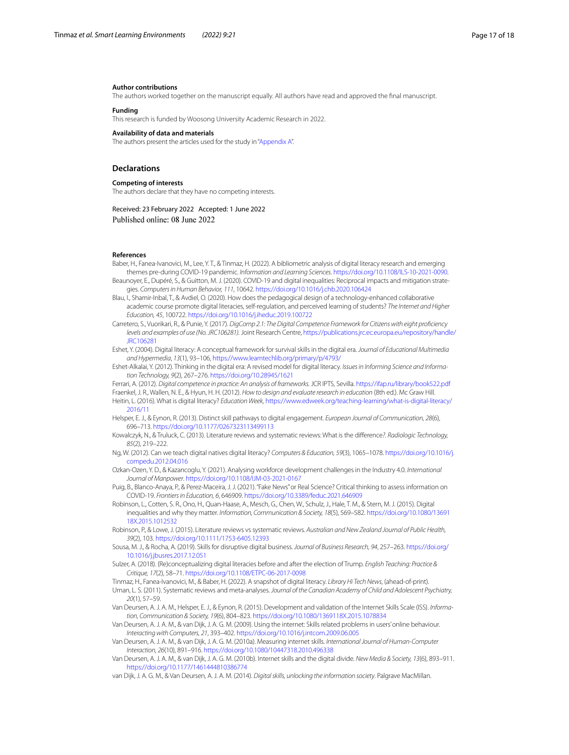#### **Author contributions**

The authors worked together on the manuscript equally. All authors have read and approved the fnal manuscript.

#### **Funding**

This research is funded by Woosong University Academic Research in 2022.

#### **Availability of data and materials**

The authors present the articles used for the study in ["Appendix A](#page-12-0)".

#### **Declarations**

#### **Competing of interests**

The authors declare that they have no competing interests.

#### Received: 23 February 2022 Accepted: 1 June 2022 Published online: 08 June 2022

#### **References**

- <span id="page-16-6"></span>Baber, H., Fanea-Ivanovici, M., Lee, Y. T., & Tinmaz, H. (2022). A bibliometric analysis of digital literacy research and emerging themes pre-during COVID-19 pandemic. *Information and Learning Sciences*.<https://doi.org/10.1108/ILS-10-2021-0090>.
- <span id="page-16-7"></span>Beaunoyer, E., Dupéré, S., & Guitton, M. J. (2020). COVID-19 and digital inequalities: Reciprocal impacts and mitigation strategies. *Computers in Human Behavior, 111*, 10642. <https://doi.org/10.1016/j.chb.2020.106424>
- <span id="page-16-8"></span>Blau, I., Shamir-Inbal, T., & Avdiel, O. (2020). How does the pedagogical design of a technology-enhanced collaborative academic course promote digital literacies, self-regulation, and perceived learning of students? *The Internet and Higher Education, 45*, 100722.<https://doi.org/10.1016/j.iheduc.2019.100722>
- <span id="page-16-11"></span>Carretero, S., Vuorikari, R., & Punie, Y. (2017). *DigComp 2.1: The Digital Competence Framework for Citizens with eight profciency levels and examples of use (No. JRC106281).* Joint Research Centre, [https://publications.jrc.ec.europa.eu/repository/handle/](https://publications.jrc.ec.europa.eu/repository/handle/JRC106281) [JRC106281](https://publications.jrc.ec.europa.eu/repository/handle/JRC106281)
- <span id="page-16-9"></span>Eshet, Y. (2004). Digital literacy: A conceptual framework for survival skills in the digital era. *Journal of Educational Multimedia and Hypermedia*, *13*(1), 93–106, <https://www.learntechlib.org/primary/p/4793/>
- <span id="page-16-10"></span>Eshet-Alkalai, Y. (2012). Thinking in the digital era: A revised model for digital literacy. *Issues in Informing Science and Information Technology, 9*(2), 267–276.<https://doi.org/10.28945/1621>

<span id="page-16-23"></span><span id="page-16-12"></span>Ferrari, A. (2012). *Digital competence in practice: An analysis of frameworks.* JCR IPTS, Sevilla.<https://ifap.ru/library/book522.pdf> Fraenkel, J. R., Wallen, N. E., & Hyun, H. H. (2012). *How to design and evaluate research in education* (8th ed.). Mc Graw Hill.

- <span id="page-16-0"></span>Heitin, L. (2016). What is digital literacy? *Education Week,* [https://www.edweek.org/teaching-learning/what-is-digital-literacy/](https://www.edweek.org/teaching-learning/what-is-digital-literacy/2016/11) [2016/11](https://www.edweek.org/teaching-learning/what-is-digital-literacy/2016/11)
- <span id="page-16-16"></span>Helsper, E. J., & Eynon, R. (2013). Distinct skill pathways to digital engagement. *European Journal of Communication, 28*(6), 696–713.<https://doi.org/10.1177/0267323113499113>

<span id="page-16-21"></span>Kowalczyk, N., & Truluck, C. (2013). Literature reviews and systematic reviews: What is the diference*?*. *Radiologic Technology, 85*(2), 219–222.

- <span id="page-16-13"></span>Ng, W. (2012). Can we teach digital natives digital literacy? *Computers & Education, 59*(3), 1065–1078. [https://doi.org/10.1016/j.](https://doi.org/10.1016/j.compedu.2012.04.016) [compedu.2012.04.016](https://doi.org/10.1016/j.compedu.2012.04.016)
- <span id="page-16-17"></span>Ozkan-Ozen, Y. D., & Kazancoglu, Y. (2021). Analysing workforce development challenges in the Industry 4.0. *International Journal of Manpower*.<https://doi.org/10.1108/IJM-03-2021-0167>
- <span id="page-16-19"></span>Puig, B., Blanco-Anaya, P., & Perez-Maceira, J. J. (2021). "Fake News" or Real Science? Critical thinking to assess information on COVID-19. *Frontiers in Education, 6*, 646909. <https://doi.org/10.3389/feduc.2021.646909>
- <span id="page-16-4"></span>Robinson, L., Cotten, S. R., Ono, H., Quan-Haase, A., Mesch, G., Chen, W., Schulz, J., Hale, T. M., & Stern, M. J. (2015). Digital inequalities and why they matter. *Information, Communication & Society, 18*(5), 569–582. [https://doi.org/10.1080/13691](https://doi.org/10.1080/1369118X.2015.1012532) [18X.2015.1012532](https://doi.org/10.1080/1369118X.2015.1012532)

<span id="page-16-22"></span>Robinson, P., & Lowe, J. (2015). Literature reviews vs systematic reviews. *Australian and New Zealand Journal of Public Health, 39*(2), 103. <https://doi.org/10.1111/1753-6405.12393>

- <span id="page-16-2"></span>Sousa, M. J., & Rocha, A. (2019). Skills for disruptive digital business. *Journal of Business Research, 94*, 257–263. [https://doi.org/](https://doi.org/10.1016/j.jbusres.2017.12.051) [10.1016/j.jbusres.2017.12.051](https://doi.org/10.1016/j.jbusres.2017.12.051)
- <span id="page-16-18"></span>Sulzer, A. (2018). (Re)conceptualizing digital literacies before and after the election of Trump. *English Teaching: Practice & Critique, 17*(2), 58–71.<https://doi.org/10.1108/ETPC-06-2017-0098>

<span id="page-16-20"></span><span id="page-16-3"></span>Tinmaz, H., Fanea-Ivanovici, M., & Baber, H. (2022). A snapshot of digital literacy. *Library Hi Tech News*, (ahead-of-print). Uman, L. S. (2011). Systematic reviews and meta-analyses. *Journal of the Canadian Academy of Child and Adolescent Psychiatry, 20*(1), 57–59.

- <span id="page-16-1"></span>Van Deursen, A. J. A. M., Helsper, E. J., & Eynon, R. (2015). Development and validation of the Internet Skills Scale (ISS). *Information, Communication & Society, 19*(6), 804–823. <https://doi.org/10.1080/1369118X.2015.1078834>
- <span id="page-16-14"></span>Van Deursen, A. J. A. M., & van Dijk, J. A. G. M. (2009). Using the internet: Skills related problems in users' online behaviour. *Interacting with Computers, 21*, 393–402. <https://doi.org/10.1016/j.intcom.2009.06.005>

<span id="page-16-5"></span>Van Deursen, A. J. A. M., & van Dijk, J. A. G. M. (2010a). Measuring internet skills. *International Journal of Human-Computer Interaction, 26*(10), 891–916.<https://doi.org/10.1080/10447318.2010.496338>

- <span id="page-16-15"></span>Van Deursen, A. J. A. M., & van Dijk, J. A. G. M. (2010b). Internet skills and the digital divide. *New Media & Society, 13*(6), 893–911. <https://doi.org/10.1177/1461444810386774>
- <span id="page-16-24"></span>van Dijk, J. A. G. M., & Van Deursen, A. J. A. M. (2014). *Digital skills, unlocking the information society*. Palgrave MacMillan.